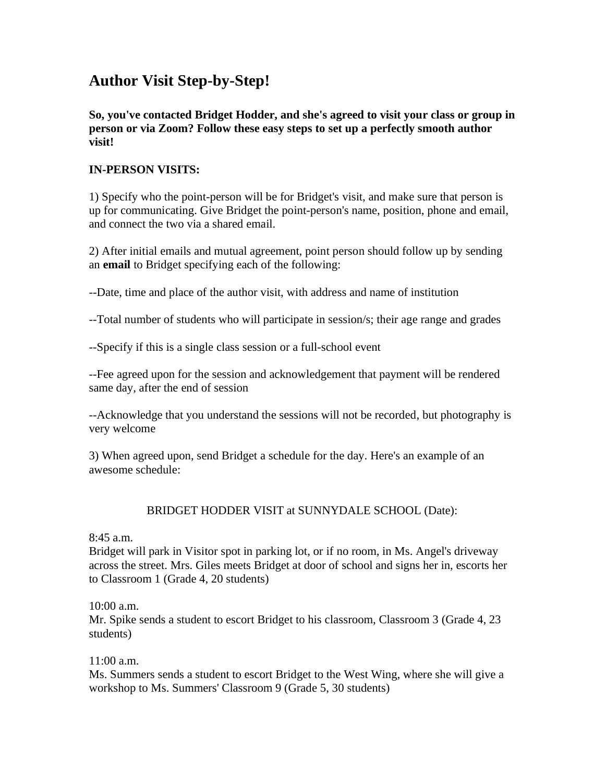# **Author Visit Step-by-Step!**

**So, you've contacted Bridget Hodder, and she's agreed to visit your class or group in person or via Zoom? Follow these easy steps to set up a perfectly smooth author visit!**

## **IN-PERSON VISITS:**

1) Specify who the point-person will be for Bridget's visit, and make sure that person is up for communicating. Give Bridget the point-person's name, position, phone and email, and connect the two via a shared email.

2) After initial emails and mutual agreement, point person should follow up by sending an **email** to Bridget specifying each of the following:

--Date, time and place of the author visit, with address and name of institution

--Total number of students who will participate in session/s; their age range and grades

--Specify if this is a single class session or a full-school event

--Fee agreed upon for the session and acknowledgement that payment will be rendered same day, after the end of session

--Acknowledge that you understand the sessions will not be recorded, but photography is very welcome

3) When agreed upon, send Bridget a schedule for the day. Here's an example of an awesome schedule:

### BRIDGET HODDER VISIT at SUNNYDALE SCHOOL (Date):

8:45 a.m.

Bridget will park in Visitor spot in parking lot, or if no room, in Ms. Angel's driveway across the street. Mrs. Giles meets Bridget at door of school and signs her in, escorts her to Classroom 1 (Grade 4, 20 students)

10:00 a.m.

Mr. Spike sends a student to escort Bridget to his classroom, Classroom 3 (Grade 4, 23 students)

 $11:00$  a.m.

Ms. Summers sends a student to escort Bridget to the West Wing, where she will give a workshop to Ms. Summers' Classroom 9 (Grade 5, 30 students)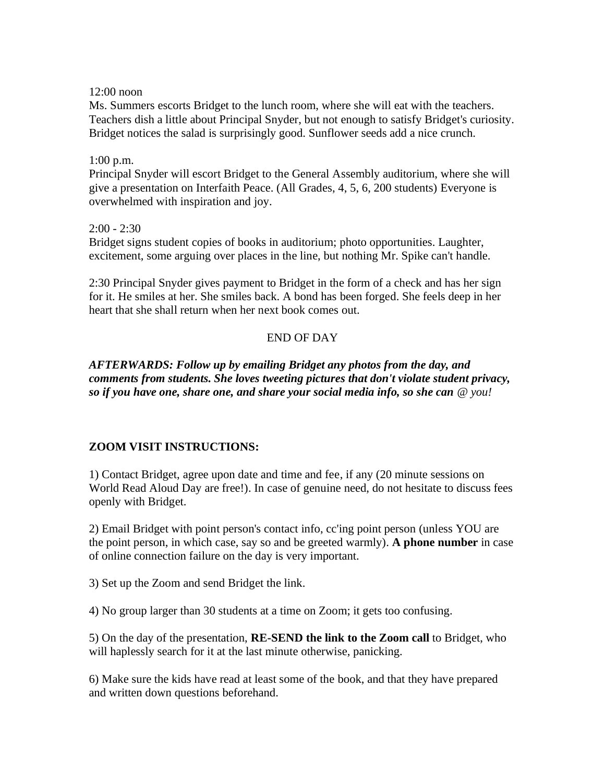12:00 noon

Ms. Summers escorts Bridget to the lunch room, where she will eat with the teachers. Teachers dish a little about Principal Snyder, but not enough to satisfy Bridget's curiosity. Bridget notices the salad is surprisingly good. Sunflower seeds add a nice crunch.

#### 1:00 p.m.

Principal Snyder will escort Bridget to the General Assembly auditorium, where she will give a presentation on Interfaith Peace. (All Grades, 4, 5, 6, 200 students) Everyone is overwhelmed with inspiration and joy.

#### $2:00 - 2:30$

Bridget signs student copies of books in auditorium; photo opportunities. Laughter, excitement, some arguing over places in the line, but nothing Mr. Spike can't handle.

2:30 Principal Snyder gives payment to Bridget in the form of a check and has her sign for it. He smiles at her. She smiles back. A bond has been forged. She feels deep in her heart that she shall return when her next book comes out.

### END OF DAY

*AFTERWARDS: Follow up by emailing Bridget any photos from the day, and comments from students. She loves tweeting pictures that don't violate student privacy, so if you have one, share one, and share your social media info, so she can @ you!*

#### **ZOOM VISIT INSTRUCTIONS:**

1) Contact Bridget, agree upon date and time and fee, if any (20 minute sessions on World Read Aloud Day are free!). In case of genuine need, do not hesitate to discuss fees openly with Bridget.

2) Email Bridget with point person's contact info, cc'ing point person (unless YOU are the point person, in which case, say so and be greeted warmly). **A phone number** in case of online connection failure on the day is very important.

3) Set up the Zoom and send Bridget the link.

4) No group larger than 30 students at a time on Zoom; it gets too confusing.

5) On the day of the presentation, **RE-SEND the link to the Zoom call** to Bridget, who will haplessly search for it at the last minute otherwise, panicking.

6) Make sure the kids have read at least some of the book, and that they have prepared and written down questions beforehand.